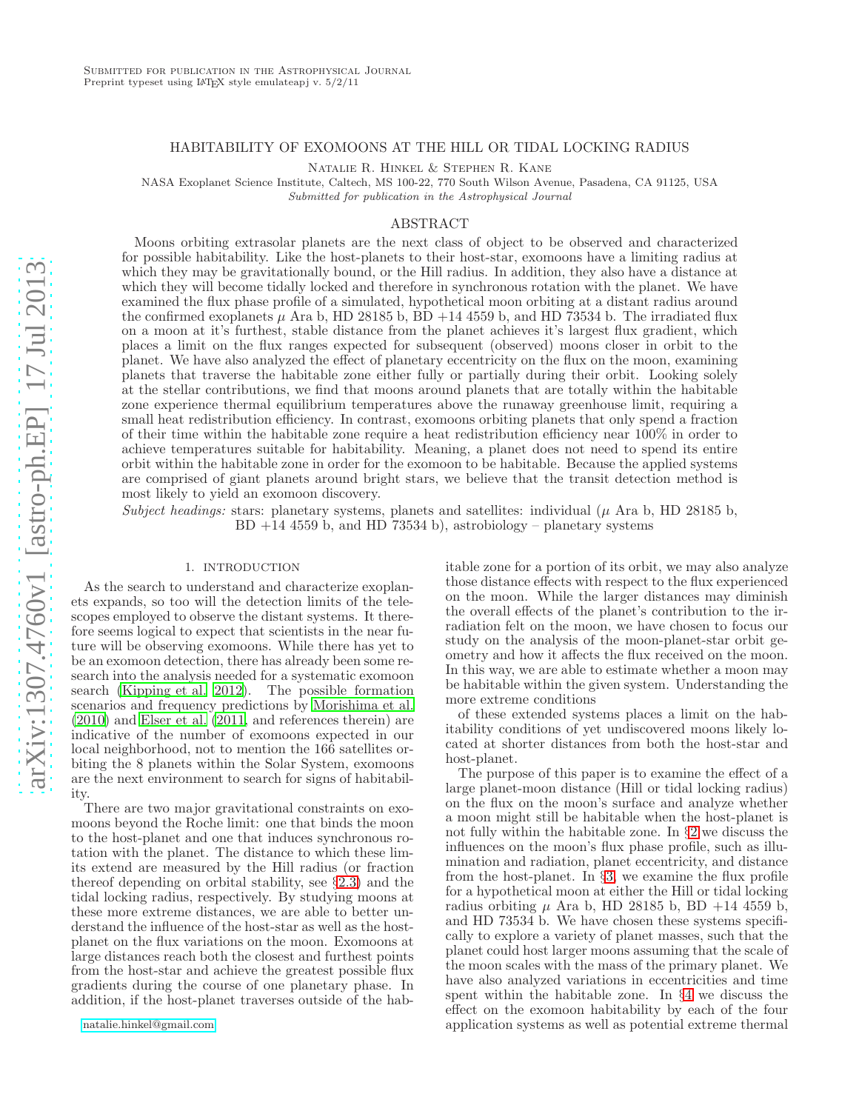#### HABITABILITY OF EXOMOONS AT THE HILL OR TIDAL LOCKING RADIUS

Natalie R. Hinkel & Stephen R. Kane

NASA Exoplanet Science Institute, Caltech, MS 100-22, 770 South Wilson Avenue, Pasadena, CA 91125, USA Submitted for publication in the Astrophysical Journal

### ABSTRACT

Moons orbiting extrasolar planets are the next class of object to be observed and characterized for possible habitability. Like the host-planets to their host-star, exomoons have a limiting radius at which they may be gravitationally bound, or the Hill radius. In addition, they also have a distance at which they will become tidally locked and therefore in synchronous rotation with the planet. We have examined the flux phase profile of a simulated, hypothetical moon orbiting at a distant radius around the confirmed exoplanets  $\mu$  Ara b, HD 28185 b, BD +14 4559 b, and HD 73534 b. The irradiated flux on a moon at it's furthest, stable distance from the planet achieves it's largest flux gradient, which places a limit on the flux ranges expected for subsequent (observed) moons closer in orbit to the planet. We have also analyzed the effect of planetary eccentricity on the flux on the moon, examining planets that traverse the habitable zone either fully or partially during their orbit. Looking solely at the stellar contributions, we find that moons around planets that are totally within the habitable zone experience thermal equilibrium temperatures above the runaway greenhouse limit, requiring a small heat redistribution efficiency. In contrast, exomoons orbiting planets that only spend a fraction of their time within the habitable zone require a heat redistribution efficiency near 100% in order to achieve temperatures suitable for habitability. Meaning, a planet does not need to spend its entire orbit within the habitable zone in order for the exomoon to be habitable. Because the applied systems are comprised of giant planets around bright stars, we believe that the transit detection method is most likely to yield an exomoon discovery.

*Subject headings:* stars: planetary systems, planets and satellites: individual  $(\mu$  Ara b, HD 28185 b,  $BD +14 4559 b$ , and  $HD 73534 b$ , astrobiology – planetary systems

## 1. INTRODUCTION

As the search to understand and characterize exoplanets expands, so too will the detection limits of the telescopes employed to observe the distant systems. It therefore seems logical to expect that scientists in the near future will be observing exomoons. While there has yet to be an exomoon detection, there has already been some research into the analysis needed for a systematic exomoon search [\(Kipping et al. 2012\)](#page-10-0). The possible formation scenarios and frequency predictions by [Morishima et al.](#page-10-1) [\(2010\)](#page-10-1) and [Elser et al. \(2011,](#page-10-2) and references therein) are indicative of the number of exomoons expected in our local neighborhood, not to mention the 166 satellites orbiting the 8 planets within the Solar System, exomoons are the next environment to search for signs of habitability.

There are two major gravitational constraints on exomoons beyond the Roche limit: one that binds the moon to the host-planet and one that induces synchronous rotation with the planet. The distance to which these limits extend are measured by the Hill radius (or fraction thereof depending on orbital stability, see §[2.3\)](#page-2-0) and the tidal locking radius, respectively. By studying moons at these more extreme distances, we are able to better understand the influence of the host-star as well as the hostplanet on the flux variations on the moon. Exomoons at large distances reach both the closest and furthest points from the host-star and achieve the greatest possible flux gradients during the course of one planetary phase. In addition, if the host-planet traverses outside of the habitable zone for a portion of its orbit, we may also analyze those distance effects with respect to the flux experienced on the moon. While the larger distances may diminish the overall effects of the planet's contribution to the irradiation felt on the moon, we have chosen to focus our study on the analysis of the moon-planet-star orbit geometry and how it affects the flux received on the moon. In this way, we are able to estimate whether a moon may be habitable within the given system. Understanding the more extreme conditions

of these extended systems places a limit on the habitability conditions of yet undiscovered moons likely located at shorter distances from both the host-star and host-planet.

The purpose of this paper is to examine the effect of a large planet-moon distance (Hill or tidal locking radius) on the flux on the moon's surface and analyze whether a moon might still be habitable when the host-planet is not fully within the habitable zone. In §[2](#page-1-0) we discuss the influences on the moon's flux phase profile, such as illumination and radiation, planet eccentricity, and distance from the host-planet. In §[3,](#page-2-1) we examine the flux profile for a hypothetical moon at either the Hill or tidal locking radius orbiting  $\mu$  Ara b, HD 28185 b, BD +14 4559 b, and HD 73534 b. We have chosen these systems specifically to explore a variety of planet masses, such that the planet could host larger moons assuming that the scale of the moon scales with the mass of the primary planet. We have also analyzed variations in eccentricities and time spent within the habitable zone. In §[4](#page-6-0) we discuss the effect on the exomoon habitability by each of the four application systems as well as potential extreme thermal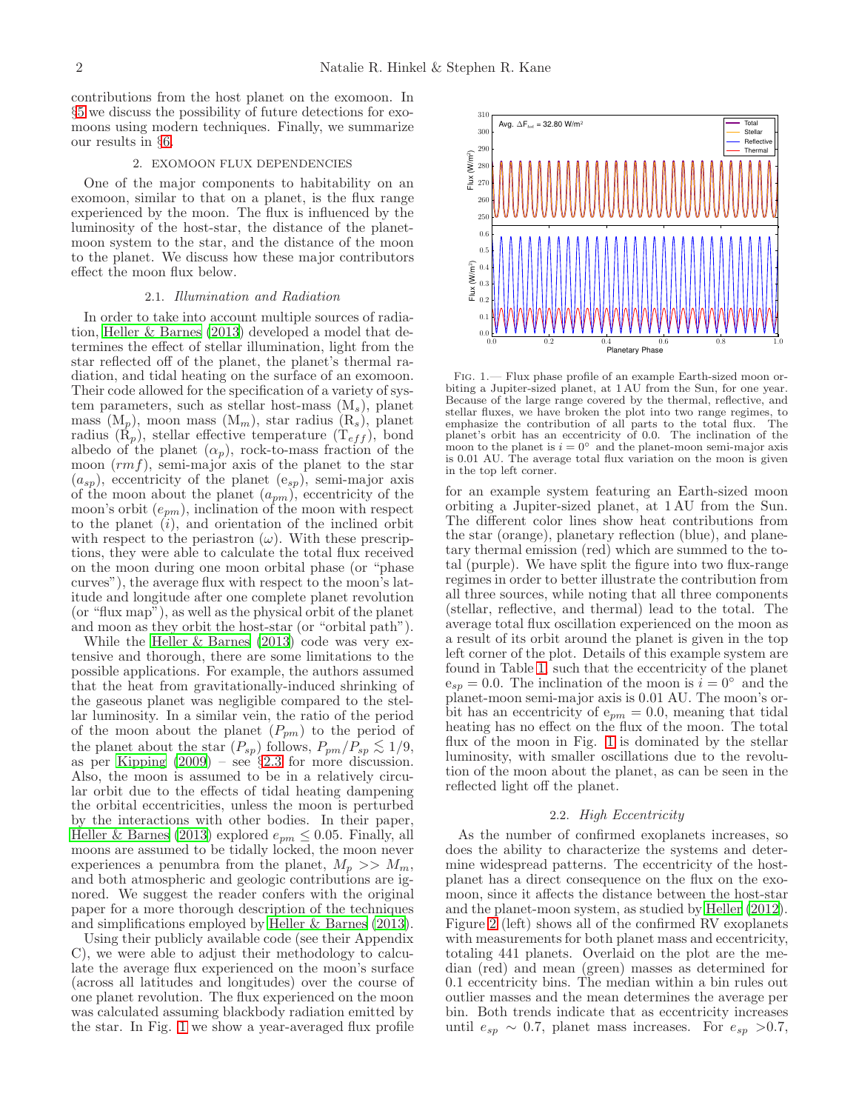contributions from the host planet on the exomoon. In §[5](#page-8-0) we discuss the possibility of future detections for exomoons using modern techniques. Finally, we summarize our results in §[6.](#page-9-0)

### 2. EXOMOON FLUX DEPENDENCIES

<span id="page-1-0"></span>One of the major components to habitability on an exomoon, similar to that on a planet, is the flux range experienced by the moon. The flux is influenced by the luminosity of the host-star, the distance of the planetmoon system to the star, and the distance of the moon to the planet. We discuss how these major contributors effect the moon flux below.

#### 2.1. *Illumination and Radiation*

<span id="page-1-2"></span>In order to take into account multiple sources of radiation, [Heller & Barnes \(2013\)](#page-10-3) developed a model that determines the effect of stellar illumination, light from the star reflected off of the planet, the planet's thermal radiation, and tidal heating on the surface of an exomoon. Their code allowed for the specification of a variety of system parameters, such as stellar host-mass  $(M_s)$ , planet mass  $(M_p)$ , moon mass  $(M_m)$ , star radius  $(R_s)$ , planet radius  $(K_p)$ , stellar effective temperature  $(T_{eff})$ , bond albedo of the planet  $(\alpha_p)$ , rock-to-mass fraction of the moon  $(rmf)$ , semi-major axis of the planet to the star  $(a_{sp})$ , eccentricity of the planet  $(e_{sp})$ , semi-major axis of the moon about the planet  $(a_{pm})$ , eccentricity of the moon's orbit  $(e_{pm})$ , inclination of the moon with respect to the planet  $(i)$ , and orientation of the inclined orbit with respect to the periastron  $(\omega)$ . With these prescriptions, they were able to calculate the total flux received on the moon during one moon orbital phase (or "phase curves"), the average flux with respect to the moon's latitude and longitude after one complete planet revolution (or "flux map"), as well as the physical orbit of the planet and moon as they orbit the host-star (or "orbital path").

While the [Heller & Barnes \(2013\)](#page-10-3) code was very extensive and thorough, there are some limitations to the possible applications. For example, the authors assumed that the heat from gravitationally-induced shrinking of the gaseous planet was negligible compared to the stellar luminosity. In a similar vein, the ratio of the period of the moon about the planet  $(P_{pm})$  to the period of the planet about the star  $(P_{sp})$  follows,  $P_{pm}/P_{sp} \lesssim 1/9$ , as per [Kipping \(2009](#page-10-4)) – see §[2.3](#page-2-0) for more discussion. Also, the moon is assumed to be in a relatively circular orbit due to the effects of tidal heating dampening the orbital eccentricities, unless the moon is perturbed by the interactions with other bodies. In their paper, [Heller & Barnes \(2013\)](#page-10-3) explored  $e_{pm} \leq 0.05$ . Finally, all moons are assumed to be tidally locked, the moon never experiences a penumbra from the planet,  $M_p \gg M_m$ , and both atmospheric and geologic contributions are ignored. We suggest the reader confers with the original paper for a more thorough description of the techniques and simplifications employed by [Heller & Barnes \(2013\)](#page-10-3).

Using their publicly available code (see their Appendix C), we were able to adjust their methodology to calculate the average flux experienced on the moon's surface (across all latitudes and longitudes) over the course of one planet revolution. The flux experienced on the moon was calculated assuming blackbody radiation emitted by the star. In Fig. [1](#page-1-1) we show a year-averaged flux profile



<span id="page-1-1"></span>Fig. 1.— Flux phase profile of an example Earth-sized moon orbiting a Jupiter-sized planet, at 1 AU from the Sun, for one year. Because of the large range covered by the thermal, reflective, and stellar fluxes, we have broken the plot into two range regimes, to emphasize the contribution of all parts to the total flux. The planet's orbit has an eccentricity of 0.0. The inclination of the moon to the planet is  $i = 0^\circ$  and the planet-moon semi-major axis is 0.01 AU. The average total flux variation on the moon is given in the top left corner.

for an example system featuring an Earth-sized moon orbiting a Jupiter-sized planet, at 1 AU from the Sun. The different color lines show heat contributions from the star (orange), planetary reflection (blue), and planetary thermal emission (red) which are summed to the total (purple). We have split the figure into two flux-range regimes in order to better illustrate the contribution from all three sources, while noting that all three components (stellar, reflective, and thermal) lead to the total. The average total flux oscillation experienced on the moon as a result of its orbit around the planet is given in the top left corner of the plot. Details of this example system are found in Table [1,](#page-10-5) such that the eccentricity of the planet  $e_{sp} = 0.0$ . The inclination of the moon is  $i = 0°$  and the planet-moon semi-major axis is 0.01 AU. The moon's orbit has an eccentricity of  $e_{pm} = 0.0$ , meaning that tidal heating has no effect on the flux of the moon. The total flux of the moon in Fig. [1](#page-1-1) is dominated by the stellar luminosity, with smaller oscillations due to the revolution of the moon about the planet, as can be seen in the reflected light off the planet.

### 2.2. *High Eccentricity*

As the number of confirmed exoplanets increases, so does the ability to characterize the systems and determine widespread patterns. The eccentricity of the hostplanet has a direct consequence on the flux on the exomoon, since it affects the distance between the host-star and the planet-moon system, as studied by [Heller \(2012](#page-10-6)). Figure [2](#page-3-0) (left) shows all of the confirmed RV exoplanets with measurements for both planet mass and eccentricity, totaling 441 planets. Overlaid on the plot are the median (red) and mean (green) masses as determined for 0.1 eccentricity bins. The median within a bin rules out outlier masses and the mean determines the average per bin. Both trends indicate that as eccentricity increases until  $e_{sp} \sim 0.7$ , planet mass increases. For  $e_{sp} > 0.7$ ,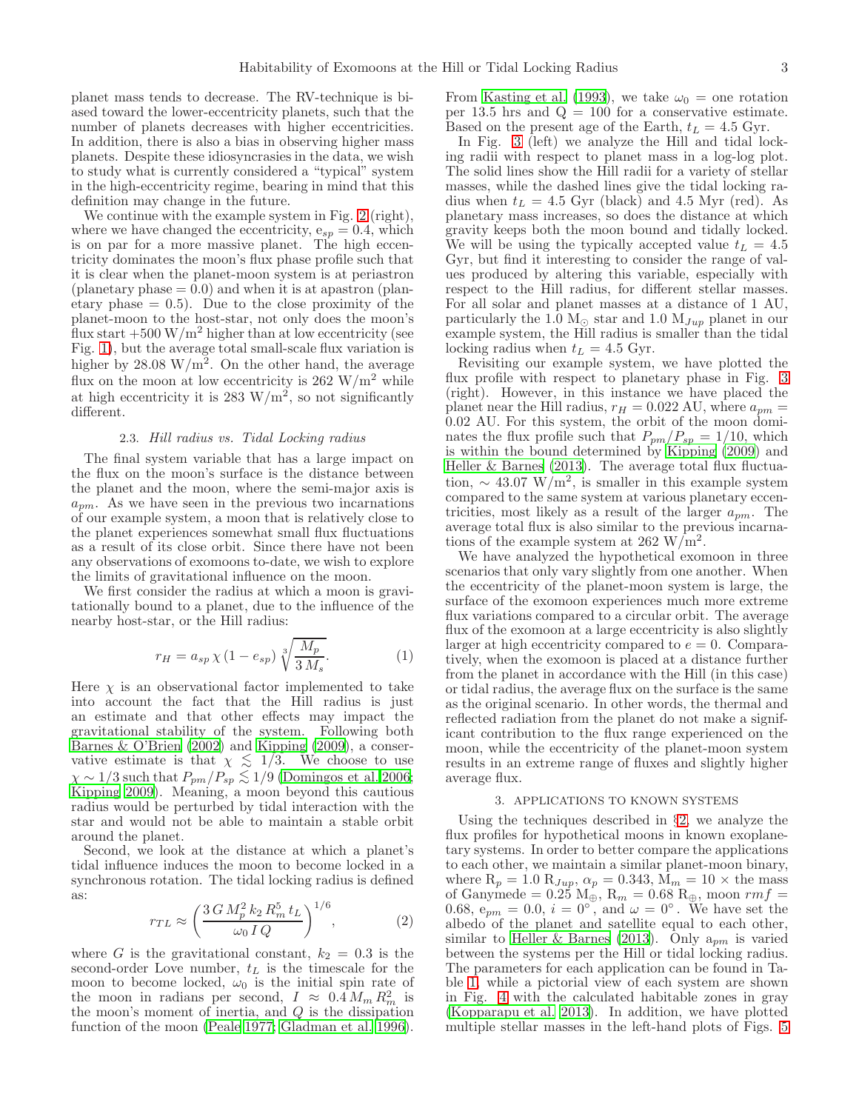planet mass tends to decrease. The RV-technique is biased toward the lower-eccentricity planets, such that the number of planets decreases with higher eccentricities. In addition, there is also a bias in observing higher mass planets. Despite these idiosyncrasies in the data, we wish to study what is currently considered a "typical" system in the high-eccentricity regime, bearing in mind that this definition may change in the future.

We continue with the example system in Fig. [2](#page-3-0) (right), where we have changed the eccentricity,  $e_{sp} = 0.4$ , which is on par for a more massive planet. The high eccentricity dominates the moon's flux phase profile such that it is clear when the planet-moon system is at periastron (planetary phase  $= 0.0$ ) and when it is at apastron (planetary phase  $= 0.5$ . Due to the close proximity of the planet-moon to the host-star, not only does the moon's flux start  $+500 \,\mathrm{W/m^2}$  higher than at low eccentricity (see Fig. [1\)](#page-1-1), but the average total small-scale flux variation is higher by  $28.08 \text{ W/m}^2$ . On the other hand, the average flux on the moon at low eccentricity is  $262 \text{ W/m}^2$  while at high eccentricity it is 283  $\text{W/m}^2$ , so not significantly different.

# 2.3. *Hill radius vs. Tidal Locking radius*

<span id="page-2-0"></span>The final system variable that has a large impact on the flux on the moon's surface is the distance between the planet and the moon, where the semi-major axis is  $a_{pm}$ . As we have seen in the previous two incarnations of our example system, a moon that is relatively close to the planet experiences somewhat small flux fluctuations as a result of its close orbit. Since there have not been any observations of exomoons to-date, we wish to explore the limits of gravitational influence on the moon.

We first consider the radius at which a moon is gravitationally bound to a planet, due to the influence of the nearby host-star, or the Hill radius:

$$
r_H = a_{sp} \chi \left( 1 - e_{sp} \right) \sqrt[3]{\frac{M_p}{3 M_s}}.\tag{1}
$$

Here  $\chi$  is an observational factor implemented to take into account the fact that the Hill radius is just an estimate and that other effects may impact the gravitational stability of the system. Following both [Barnes & O'Brien \(2002\)](#page-9-1) and [Kipping \(2009\)](#page-10-4), a conservative estimate is that  $\chi \leq 1/3$ . We choose to use  $\chi \sim 1/3$  such that  $P_{pm}/P_{sp} \lesssim 1/9$  [\(Domingos et al. 2006;](#page-9-2) [Kipping 2009\)](#page-10-4). Meaning, a moon beyond this cautious radius would be perturbed by tidal interaction with the star and would not be able to maintain a stable orbit around the planet.

Second, we look at the distance at which a planet's tidal influence induces the moon to become locked in a synchronous rotation. The tidal locking radius is defined as:

$$
r_{TL} \approx \left(\frac{3\,G\,M_p^2\,k_2\,R_m^5\,t_L}{\omega_0\,I\,Q}\right)^{1/6},\tag{2}
$$

where G is the gravitational constant,  $k_2 = 0.3$  is the second-order Love number,  $t_L$  is the timescale for the moon to become locked,  $\omega_0$  is the initial spin rate of the moon in radians per second,  $I \approx 0.4 M_m R_m^2$  is the moon's moment of inertia, and  $Q$  is the dissipation function of the moon [\(Peale 1977;](#page-10-7) [Gladman et al. 1996\)](#page-10-8).

From [Kasting et al. \(1993\)](#page-10-9), we take  $\omega_0 =$  one rotation per 13.5 hrs and  $Q = 100$  for a conservative estimate. Based on the present age of the Earth,  $t_L = 4.5$  Gyr.

In Fig. [3](#page-3-1) (left) we analyze the Hill and tidal locking radii with respect to planet mass in a log-log plot. The solid lines show the Hill radii for a variety of stellar masses, while the dashed lines give the tidal locking radius when  $t_L = 4.5$  Gyr (black) and 4.5 Myr (red). As planetary mass increases, so does the distance at which gravity keeps both the moon bound and tidally locked. We will be using the typically accepted value  $t_L = 4.5$ Gyr, but find it interesting to consider the range of values produced by altering this variable, especially with respect to the Hill radius, for different stellar masses. For all solar and planet masses at a distance of 1 AU, particularly the 1.0 M<sub>☉</sub> star and 1.0 M<sub>Jup</sub> planet in our example system, the Hill radius is smaller than the tidal locking radius when  $t_L = 4.5$  Gyr.

Revisiting our example system, we have plotted the flux profile with respect to planetary phase in Fig. [3](#page-3-1) (right). However, in this instance we have placed the planet near the Hill radius,  $r_H = 0.022$  AU, where  $a_{pm} =$ 0.02 AU. For this system, the orbit of the moon dominates the flux profile such that  $P_{pm}/P_{sp} = 1/10$ , which is within the bound determined by [Kipping \(2009](#page-10-4)) and Heller  $&$  Barnes (2013). The average total flux fluctuation,  $\sim 43.07 \text{ W/m}^2$ , is smaller in this example system compared to the same system at various planetary eccentricities, most likely as a result of the larger  $a_{pm}$ . The average total flux is also similar to the previous incarnations of the example system at 262 W/m<sup>2</sup>.

We have analyzed the hypothetical exomoon in three scenarios that only vary slightly from one another. When the eccentricity of the planet-moon system is large, the surface of the exomoon experiences much more extreme flux variations compared to a circular orbit. The average flux of the exomoon at a large eccentricity is also slightly larger at high eccentricity compared to  $e = 0$ . Comparatively, when the exomoon is placed at a distance further from the planet in accordance with the Hill (in this case) or tidal radius, the average flux on the surface is the same as the original scenario. In other words, the thermal and reflected radiation from the planet do not make a significant contribution to the flux range experienced on the moon, while the eccentricity of the planet-moon system results in an extreme range of fluxes and slightly higher average flux.

### 3. APPLICATIONS TO KNOWN SYSTEMS

<span id="page-2-1"></span>Using the techniques described in §[2,](#page-1-0) we analyze the flux profiles for hypothetical moons in known exoplanetary systems. In order to better compare the applications to each other, we maintain a similar planet-moon binary, where  $R_p = 1.0 R_{Jup}$ ,  $\alpha_p = 0.343$ ,  $M_m = 10 \times$  the mass of Ganymede = 0.25  $M_{\oplus}$ ,  $R_m$  = 0.68  $R_{\oplus}$ , moon  $rm f$  = 0.68,  $e_{pm} = 0.0$ ,  $i = 0^\circ$ , and  $\omega = 0^\circ$ . We have set the albedo of the planet and satellite equal to each other, similar to [Heller & Barnes \(2013](#page-10-3)). Only  $a_{pm}$  is varied between the systems per the Hill or tidal locking radius. The parameters for each application can be found in Table [1,](#page-10-5) while a pictorial view of each system are shown in Fig. [4](#page-4-0) with the calculated habitable zones in gray [\(Kopparapu et al. 2013\)](#page-10-10). In addition, we have plotted multiple stellar masses in the left-hand plots of Figs. [5](#page-5-0)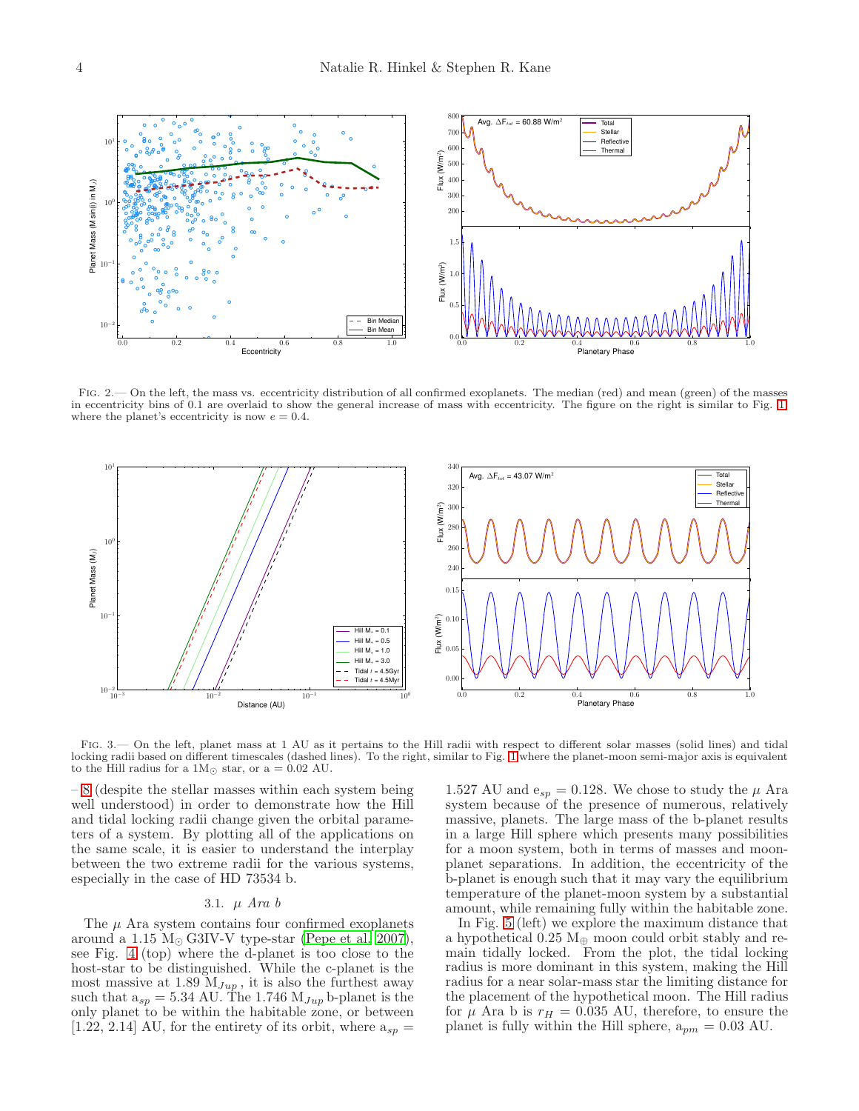

<span id="page-3-0"></span>FIG. 2.— On the left, the mass vs. eccentricity distribution of all confirmed exoplanets. The median (red) and mean (green) of the masses in eccentricity bins of 0.1 are overlaid to show the general increase of mass with eccentricity. The figure on the right is similar to Fig. [1,](#page-1-1) where the planet's eccentricity is now  $e = 0.4$ .



<span id="page-3-1"></span>FIG. 3.— On the left, planet mass at 1 AU as it pertains to the Hill radii with respect to different solar masses (solid lines) and tidal locking radii based on different timescales (dashed lines). To the right, similar to Fig. [1](#page-1-1) where the planet-moon semi-major axis is equivalent to the Hill radius for a  $1M_{\odot}$  star, or a = 0.02 AU.

– [8](#page-7-0) (despite the stellar masses within each system being well understood) in order to demonstrate how the Hill and tidal locking radii change given the orbital parameters of a system. By plotting all of the applications on the same scale, it is easier to understand the interplay between the two extreme radii for the various systems, especially in the case of HD 73534 b.

### 3.1. µ *Ara b*

The  $\mu$  Ara system contains four confirmed exoplanets around a 1.15  $M_{\odot}$  G3IV-V type-star [\(Pepe et al. 2007\)](#page-10-11), see Fig. [4](#page-4-0) (top) where the d-planet is too close to the host-star to be distinguished. While the c-planet is the most massive at 1.89  $M_{Jup}$ , it is also the furthest away such that  $a_{sp} = 5.34$  AU. The 1.746  $M_{Jup}$  b-planet is the only planet to be within the habitable zone, or between [1.22, 2.14] AU, for the entirety of its orbit, where  $a_{sp} =$ 

1.527 AU and  $e_{sp} = 0.128$ . We chose to study the  $\mu$  Ara system because of the presence of numerous, relatively massive, planets. The large mass of the b-planet results in a large Hill sphere which presents many possibilities for a moon system, both in terms of masses and moonplanet separations. In addition, the eccentricity of the b-planet is enough such that it may vary the equilibrium temperature of the planet-moon system by a substantial amount, while remaining fully within the habitable zone.

In Fig. [5](#page-5-0) (left) we explore the maximum distance that a hypothetical  $0.25 \text{ M}_{\oplus}$  moon could orbit stably and remain tidally locked. From the plot, the tidal locking radius is more dominant in this system, making the Hill radius for a near solar-mass star the limiting distance for the placement of the hypothetical moon. The Hill radius for  $\mu$  Ara b is  $r_H = 0.035$  AU, therefore, to ensure the planet is fully within the Hill sphere,  $a_{pm} = 0.03$  AU.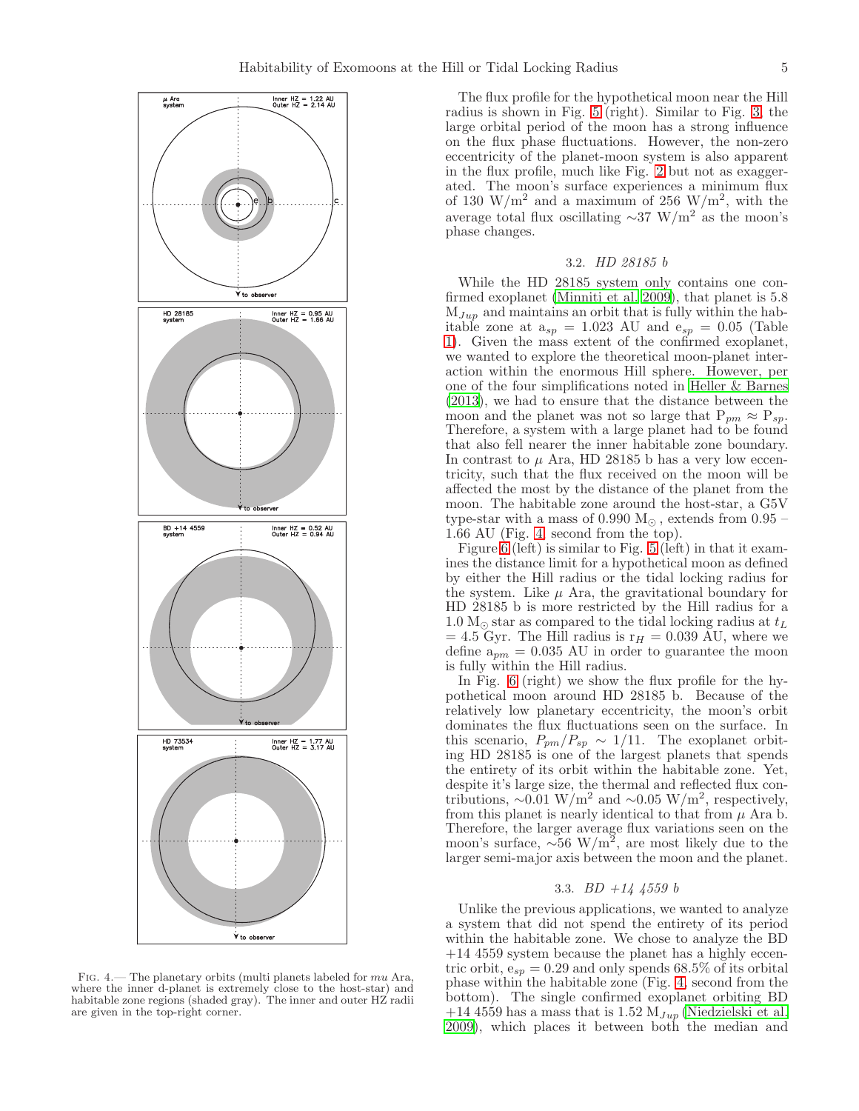

<span id="page-4-0"></span>Fig. 4.— The planetary orbits (multi planets labeled for mu Ara, where the inner d-planet is extremely close to the host-star) and habitable zone regions (shaded gray). The inner and outer HZ radii are given in the top-right corner.

The flux profile for the hypothetical moon near the Hill radius is shown in Fig. [5](#page-5-0) (right). Similar to Fig. [3,](#page-3-1) the large orbital period of the moon has a strong influence on the flux phase fluctuations. However, the non-zero eccentricity of the planet-moon system is also apparent in the flux profile, much like Fig. [2](#page-3-0) but not as exaggerated. The moon's surface experiences a minimum flux of 130 W/m<sup>2</sup> and a maximum of 256 W/m<sup>2</sup>, with the average total flux oscillating  $\sim$ 37 W/m<sup>2</sup> as the moon's phase changes.

### 3.2. *HD 28185 b*

While the HD 28185 system only contains one confirmed exoplanet [\(Minniti et al. 2009](#page-10-12)), that planet is 5.8  $M_{Jup}$  and maintains an orbit that is fully within the habitable zone at  $a_{sp} = 1.023$  AU and  $e_{sp} = 0.05$  (Table [1\)](#page-10-5). Given the mass extent of the confirmed exoplanet, we wanted to explore the theoretical moon-planet interaction within the enormous Hill sphere. However, per one of the four simplifications noted in [Heller & Barnes](#page-10-3) [\(2013\)](#page-10-3), we had to ensure that the distance between the moon and the planet was not so large that  $P_{pm} \approx P_{sp}$ . Therefore, a system with a large planet had to be found that also fell nearer the inner habitable zone boundary. In contrast to  $\mu$  Ara, HD 28185 b has a very low eccentricity, such that the flux received on the moon will be affected the most by the distance of the planet from the moon. The habitable zone around the host-star, a G5V type-star with a mass of  $0.990$  M<sub> $\odot$ </sub>, extends from  $0.95$  – 1.66 AU (Fig. [4,](#page-4-0) second from the top).

Figure  $6$  (left) is similar to Fig. [5](#page-5-0) (left) in that it examines the distance limit for a hypothetical moon as defined by either the Hill radius or the tidal locking radius for the system. Like  $\mu$  Ara, the gravitational boundary for HD 28185 b is more restricted by the Hill radius for a 1.0  $M_{\odot}$  star as compared to the tidal locking radius at  $t_L$  $= 4.5$  Gyr. The Hill radius is  $r_H = 0.039$  AU, where we define  $a_{pm} = 0.035$  AU in order to guarantee the moon is fully within the Hill radius.

In Fig. [6](#page-5-1) (right) we show the flux profile for the hypothetical moon around HD 28185 b. Because of the relatively low planetary eccentricity, the moon's orbit dominates the flux fluctuations seen on the surface. In this scenario,  $P_{pm}/P_{sp} \sim 1/11$ . The exoplanet orbiting HD 28185 is one of the largest planets that spends the entirety of its orbit within the habitable zone. Yet, despite it's large size, the thermal and reflected flux contributions,  $\sim 0.01 \text{ W/m}^2$  and  $\sim 0.05 \text{ W/m}^2$ , respectively, from this planet is nearly identical to that from  $\mu$  Ara b. Therefore, the larger average flux variations seen on the moon's surface,  $\sim 56 \text{ W/m}^2$ , are most likely due to the larger semi-major axis between the moon and the planet.

#### 3.3. *BD +14 4559 b*

Unlike the previous applications, we wanted to analyze a system that did not spend the entirety of its period within the habitable zone. We chose to analyze the BD +14 4559 system because the planet has a highly eccentric orbit,  $e_{sp} = 0.29$  and only spends 68.5% of its orbital phase within the habitable zone (Fig. [4,](#page-4-0) second from the bottom). The single confirmed exoplanet orbiting BD +14 4559 has a mass that is 1.52  $M_{Jup}$  [\(Niedzielski et al.](#page-10-13) [2009\)](#page-10-13), which places it between both the median and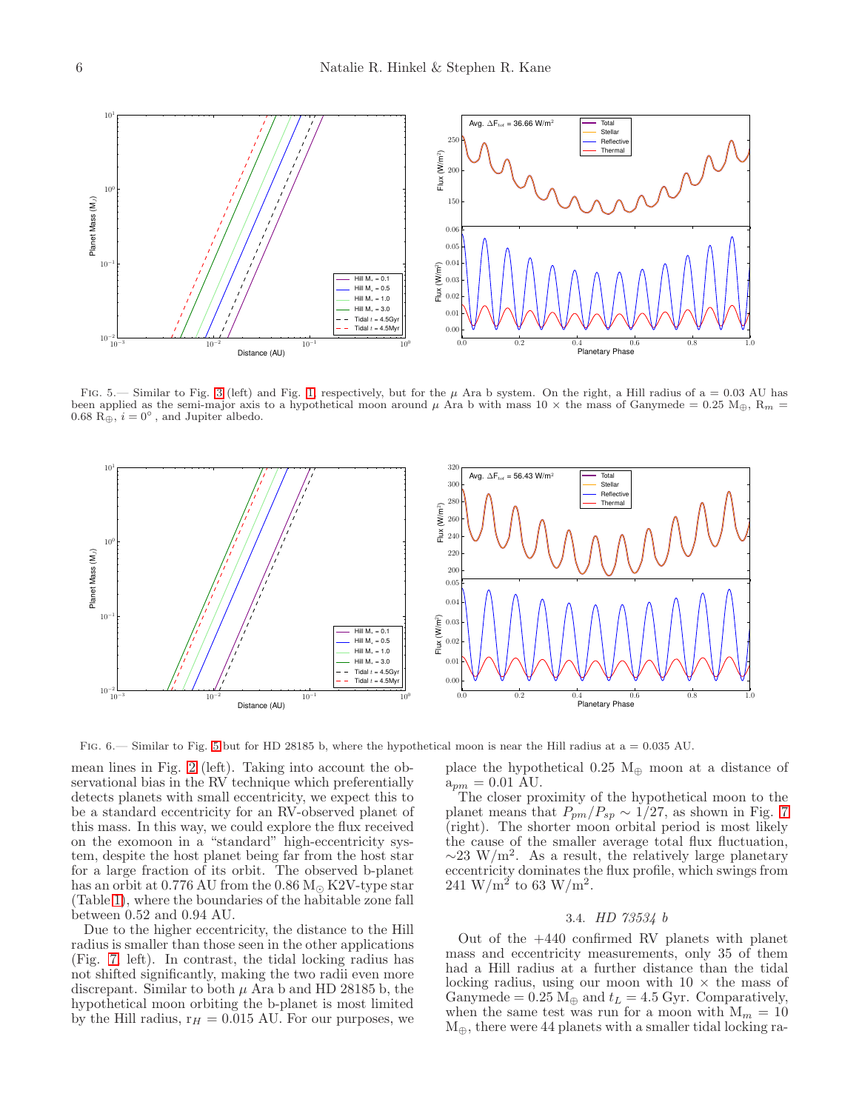

<span id="page-5-0"></span>FIG. 5.— Similar to Fig. [3](#page-3-1) (left) and Fig. [1,](#page-1-1) respectively, but for the  $\mu$  Ara b system. On the right, a Hill radius of a = 0.03 AU has been applied as the semi-major axis to a hypothetical moon around  $\mu$  Ara b with mass 10  $\times$  the mass of Ganymede = 0.25 M<sub>⊕</sub>, R<sub>m</sub> = 0.68  $\overrightarrow{R}_{\oplus}$ ,  $i = 0^{\circ}$ , and Jupiter albedo.



<span id="page-5-1"></span>FIG.  $6 -$  Similar to Fig. [5](#page-5-0) but for HD 28185 b, where the hypothetical moon is near the Hill radius at a = 0.035 AU.

mean lines in Fig. [2](#page-3-0) (left). Taking into account the observational bias in the RV technique which preferentially detects planets with small eccentricity, we expect this to be a standard eccentricity for an RV-observed planet of this mass. In this way, we could explore the flux received on the exomoon in a "standard" high-eccentricity system, despite the host planet being far from the host star for a large fraction of its orbit. The observed b-planet has an orbit at  $0.776$  AU from the  $0.86$  M<sub> $\odot$ </sub> K2V-type star (Table [1\)](#page-10-5), where the boundaries of the habitable zone fall between 0.52 and 0.94 AU.

Due to the higher eccentricity, the distance to the Hill radius is smaller than those seen in the other applications (Fig. [7,](#page-6-1) left). In contrast, the tidal locking radius has not shifted significantly, making the two radii even more discrepant. Similar to both  $\mu$  Ara b and HD 28185 b, the hypothetical moon orbiting the b-planet is most limited by the Hill radius,  $r_H = 0.015$  AU. For our purposes, we place the hypothetical  $0.25 \text{ M}_{\oplus}$  moon at a distance of  $a_{pm} = 0.01 \text{ AU}.$ 

The closer proximity of the hypothetical moon to the planet means that  $P_{pm}/P_{sp} \sim 1/27$ , as shown in Fig. [7](#page-6-1) (right). The shorter moon orbital period is most likely the cause of the smaller average total flux fluctuation,  $\sim$ 23 W/m<sup>2</sup>. As a result, the relatively large planetary eccentricity dominates the flux profile, which swings from  $241 \text{ W/m}^2$  to 63  $\text{W/m}^2$ .

### 3.4. *HD 73534 b*

Out of the +440 confirmed RV planets with planet mass and eccentricity measurements, only 35 of them had a Hill radius at a further distance than the tidal locking radius, using our moon with  $10 \times$  the mass of Ganymede =  $0.25 \text{ M}_{\oplus}$  and  $t_L = 4.5 \text{ Gyr}$ . Comparatively, when the same test was run for a moon with  $M_m = 10$  $M_{\oplus}$ , there were 44 planets with a smaller tidal locking ra-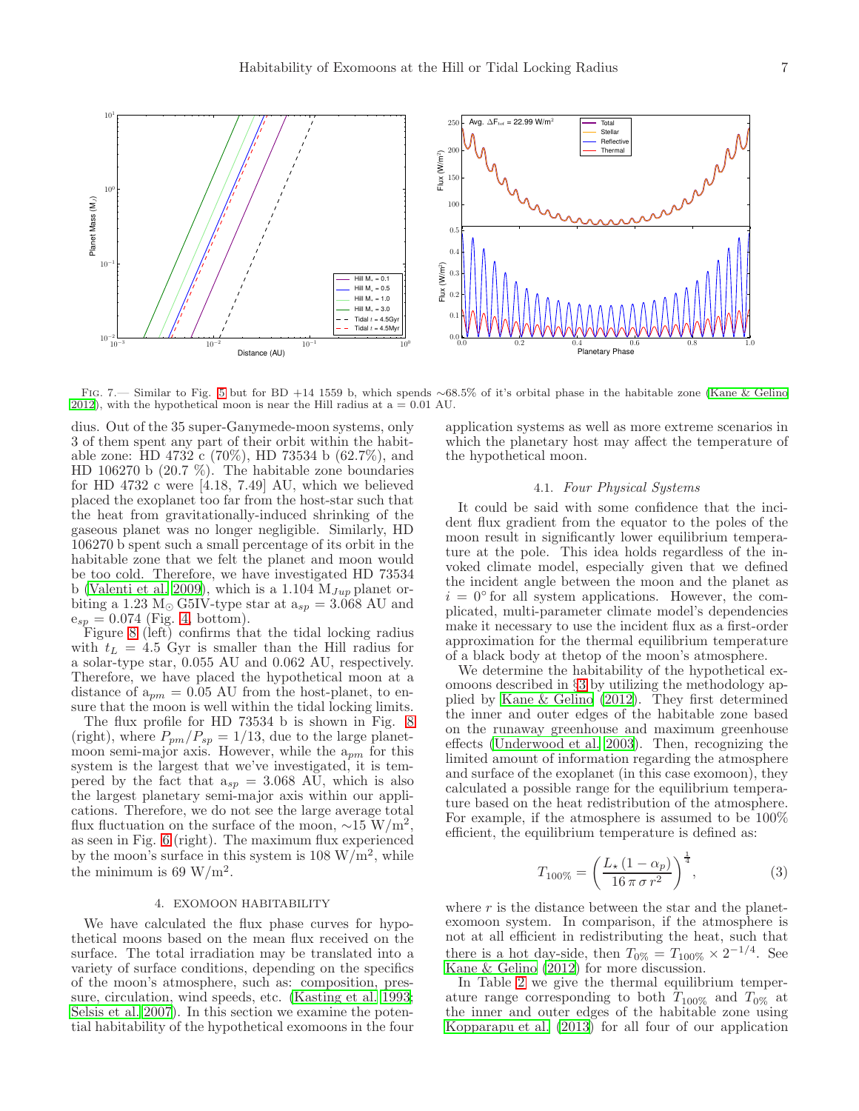

<span id="page-6-1"></span>Fig. 7.— Similar to Fig. [5](#page-5-0) but for BD +14 1559 b, which spends ∼68.5% of it's orbital phase in the habitable zone [\(Kane & Gelino](#page-10-14) [2012\)](#page-10-14), with the hypothetical moon is near the Hill radius at  $a = 0.01$  AU.

dius. Out of the 35 super-Ganymede-moon systems, only 3 of them spent any part of their orbit within the habitable zone: HD 4732 c (70%), HD 73534 b (62.7%), and HD 106270 b (20.7 %). The habitable zone boundaries for HD 4732 c were [4.18, 7.49] AU, which we believed placed the exoplanet too far from the host-star such that the heat from gravitationally-induced shrinking of the gaseous planet was no longer negligible. Similarly, HD 106270 b spent such a small percentage of its orbit in the habitable zone that we felt the planet and moon would be too cold. Therefore, we have investigated HD 73534 b [\(Valenti et al. 2009\)](#page-10-15), which is a 1.104  $M_{Jup}$  planet orbiting a 1.23 M<sub>☉</sub> G5IV-type star at  $a_{sp} = 3.068$  AU and  $e_{sp} = 0.074$  (Fig. [4,](#page-4-0) bottom).

Figure [8](#page-7-0) (left) confirms that the tidal locking radius with  $t_L = 4.5$  Gyr is smaller than the Hill radius for a solar-type star, 0.055 AU and 0.062 AU, respectively. Therefore, we have placed the hypothetical moon at a distance of  $a_{pm} = 0.05$  AU from the host-planet, to ensure that the moon is well within the tidal locking limits.

The flux profile for HD 73534 b is shown in Fig. [8](#page-7-0) (right), where  $P_{pm}/P_{sp} = 1/13$ , due to the large planetmoon semi-major axis. However, while the  $a_{pm}$  for this system is the largest that we've investigated, it is tempered by the fact that  $a_{sp} = 3.068$  AU, which is also the largest planetary semi-major axis within our applications. Therefore, we do not see the large average total flux fluctuation on the surface of the moon,  $\sim 15 \text{ W/m}^2$ , as seen in Fig. [6](#page-5-1) (right). The maximum flux experienced by the moon's surface in this system is  $108 \text{ W/m}^2$ , while the minimum is 69 W/m<sup>2</sup>.

# 4. EXOMOON HABITABILITY

<span id="page-6-0"></span>We have calculated the flux phase curves for hypothetical moons based on the mean flux received on the surface. The total irradiation may be translated into a variety of surface conditions, depending on the specifics of the moon's atmosphere, such as: composition, pressure, circulation, wind speeds, etc. [\(Kasting et al. 1993;](#page-10-9) [Selsis et al. 2007\)](#page-10-16). In this section we examine the potential habitability of the hypothetical exomoons in the four

application systems as well as more extreme scenarios in which the planetary host may affect the temperature of the hypothetical moon.

## 4.1. *Four Physical Systems*

It could be said with some confidence that the incident flux gradient from the equator to the poles of the moon result in significantly lower equilibrium temperature at the pole. This idea holds regardless of the invoked climate model, especially given that we defined the incident angle between the moon and the planet as  $i = 0$ <sup>o</sup> for all system applications. However, the complicated, multi-parameter climate model's dependencies make it necessary to use the incident flux as a first-order approximation for the thermal equilibrium temperature of a black body at thetop of the moon's atmosphere.

We determine the habitability of the hypothetical exomoons described in §[3](#page-2-1) by utilizing the methodology applied by [Kane & Gelino \(2012](#page-10-14)). They first determined the inner and outer edges of the habitable zone based on the runaway greenhouse and maximum greenhouse effects [\(Underwood et al. 2003\)](#page-10-17). Then, recognizing the limited amount of information regarding the atmosphere and surface of the exoplanet (in this case exomoon), they calculated a possible range for the equilibrium temperature based on the heat redistribution of the atmosphere. For example, if the atmosphere is assumed to be 100% efficient, the equilibrium temperature is defined as:

$$
T_{100\%} = \left(\frac{L_{\star} (1 - \alpha_p)}{16 \pi \sigma r^2}\right)^{\frac{1}{4}},\tag{3}
$$

where  $r$  is the distance between the star and the planetexomoon system. In comparison, if the atmosphere is not at all efficient in redistributing the heat, such that there is a hot day-side, then  $T_{0\%} = T_{100\%} \times 2^{-1/4}$ . See [Kane & Gelino \(2012](#page-10-14)) for more discussion.

In Table [2](#page-10-18) we give the thermal equilibrium temperature range corresponding to both  $T_{100\%}$  and  $T_{0\%}$  at the inner and outer edges of the habitable zone using [Kopparapu et al. \(2013](#page-10-10)) for all four of our application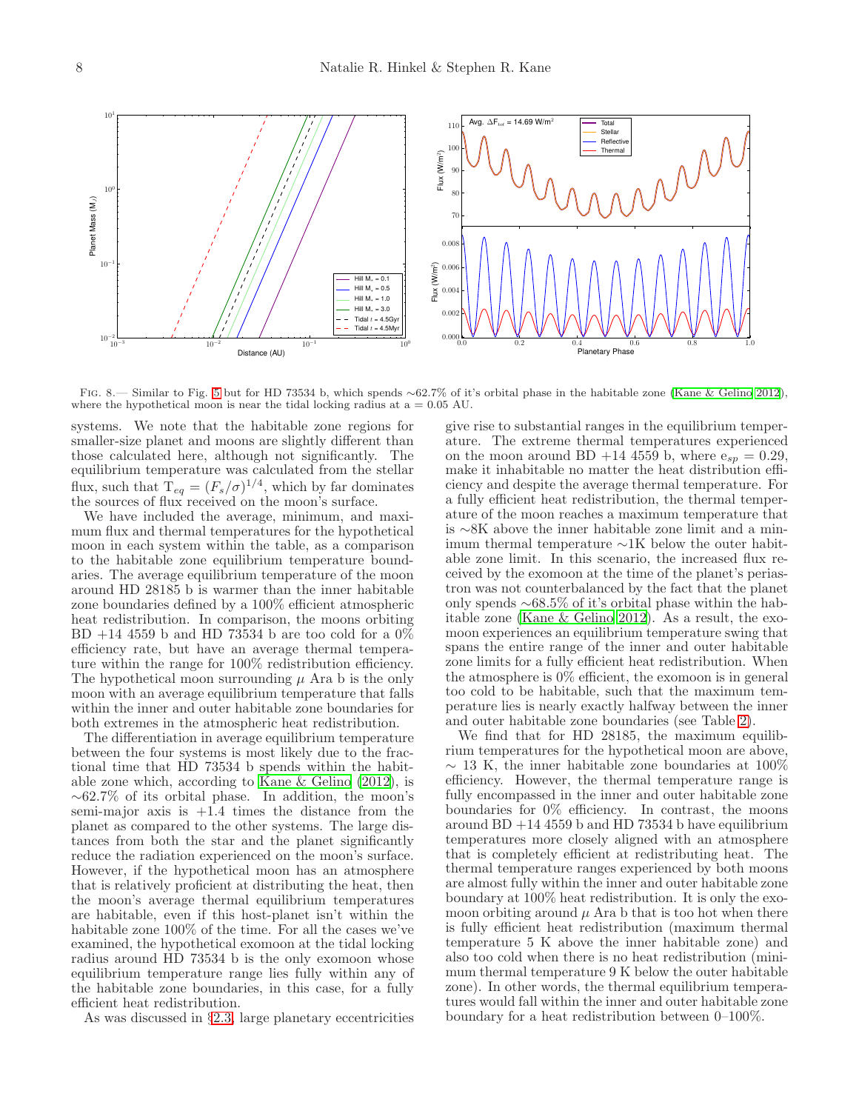

<span id="page-7-0"></span>Fig. 8.— Similar to Fig. [5](#page-5-0) but for HD 73534 b, which spends ∼62.7% of it's orbital phase in the habitable zone [\(Kane & Gelino 2012](#page-10-14)), where the hypothetical moon is near the tidal locking radius at  $a = 0.05$  AU.

systems. We note that the habitable zone regions for smaller-size planet and moons are slightly different than those calculated here, although not significantly. The equilibrium temperature was calculated from the stellar flux, such that  $T_{eq} = (F_s/\sigma)^{1/4}$ , which by far dominates the sources of flux received on the moon's surface.

We have included the average, minimum, and maximum flux and thermal temperatures for the hypothetical moon in each system within the table, as a comparison to the habitable zone equilibrium temperature boundaries. The average equilibrium temperature of the moon around HD 28185 b is warmer than the inner habitable zone boundaries defined by a 100% efficient atmospheric heat redistribution. In comparison, the moons orbiting BD  $+14$  4559 b and HD 73534 b are too cold for a  $0\%$ efficiency rate, but have an average thermal temperature within the range for 100% redistribution efficiency. The hypothetical moon surrounding  $\mu$  Ara b is the only moon with an average equilibrium temperature that falls within the inner and outer habitable zone boundaries for both extremes in the atmospheric heat redistribution.

The differentiation in average equilibrium temperature between the four systems is most likely due to the fractional time that HD 73534 b spends within the habitable zone which, according to [Kane & Gelino \(2012\)](#page-10-14), is ∼62.7% of its orbital phase. In addition, the moon's semi-major axis is  $+1.4$  times the distance from the planet as compared to the other systems. The large distances from both the star and the planet significantly reduce the radiation experienced on the moon's surface. However, if the hypothetical moon has an atmosphere that is relatively proficient at distributing the heat, then the moon's average thermal equilibrium temperatures are habitable, even if this host-planet isn't within the habitable zone 100% of the time. For all the cases we've examined, the hypothetical exomoon at the tidal locking radius around HD 73534 b is the only exomoon whose equilibrium temperature range lies fully within any of the habitable zone boundaries, in this case, for a fully efficient heat redistribution.

As was discussed in §[2.3,](#page-2-0) large planetary eccentricities

give rise to substantial ranges in the equilibrium temperature. The extreme thermal temperatures experienced on the moon around BD +14 4559 b, where  $e_{sp} = 0.29$ , make it inhabitable no matter the heat distribution efficiency and despite the average thermal temperature. For a fully efficient heat redistribution, the thermal temperature of the moon reaches a maximum temperature that is ∼8K above the inner habitable zone limit and a minimum thermal temperature ∼1K below the outer habitable zone limit. In this scenario, the increased flux received by the exomoon at the time of the planet's periastron was not counterbalanced by the fact that the planet only spends ∼68.5% of it's orbital phase within the habitable zone [\(Kane & Gelino 2012\)](#page-10-14). As a result, the exomoon experiences an equilibrium temperature swing that spans the entire range of the inner and outer habitable zone limits for a fully efficient heat redistribution. When the atmosphere is 0% efficient, the exomoon is in general too cold to be habitable, such that the maximum temperature lies is nearly exactly halfway between the inner and outer habitable zone boundaries (see Table [2\)](#page-10-18).

We find that for HD 28185, the maximum equilibrium temperatures for the hypothetical moon are above,  $\sim$  13 K, the inner habitable zone boundaries at 100% efficiency. However, the thermal temperature range is fully encompassed in the inner and outer habitable zone boundaries for 0% efficiency. In contrast, the moons around  $BD +14 4559 b$  and  $HD 73534 b$  have equilibrium temperatures more closely aligned with an atmosphere that is completely efficient at redistributing heat. The thermal temperature ranges experienced by both moons are almost fully within the inner and outer habitable zone boundary at 100% heat redistribution. It is only the exomoon orbiting around  $\mu$  Ara b that is too hot when there is fully efficient heat redistribution (maximum thermal temperature 5 K above the inner habitable zone) and also too cold when there is no heat redistribution (minimum thermal temperature 9 K below the outer habitable zone). In other words, the thermal equilibrium temperatures would fall within the inner and outer habitable zone boundary for a heat redistribution between 0–100%.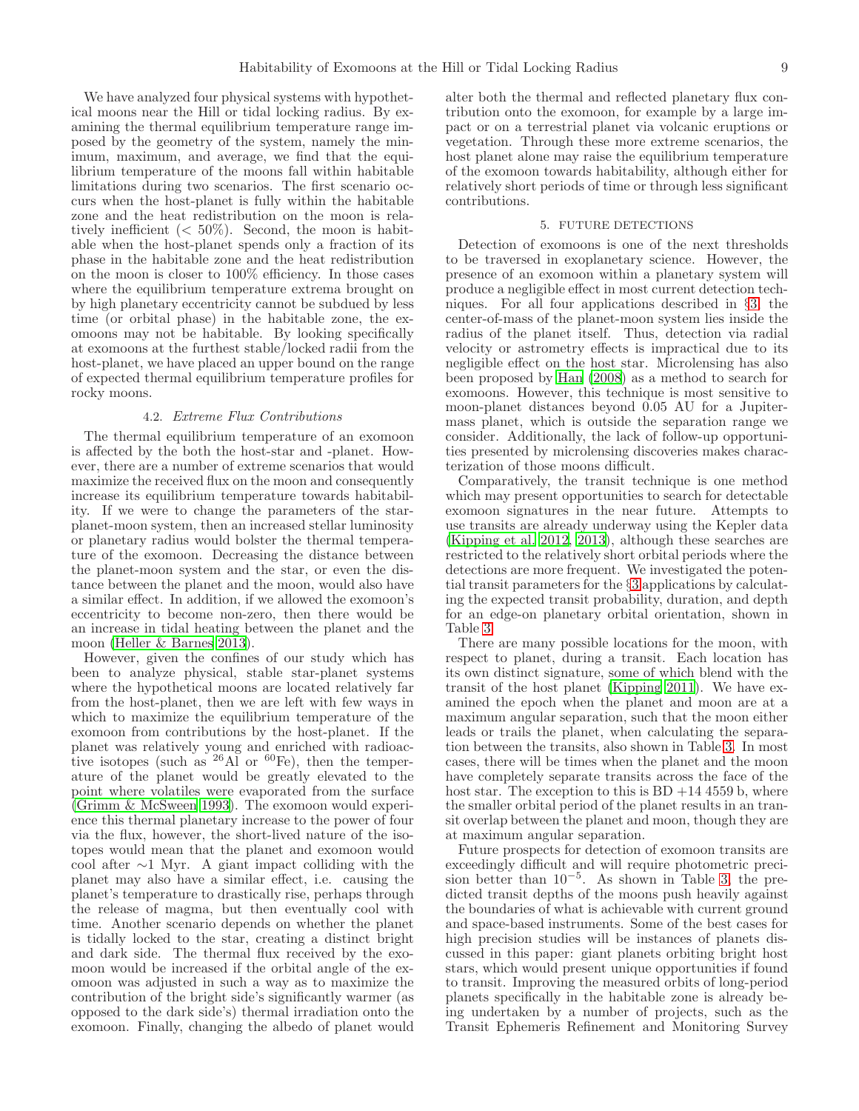We have analyzed four physical systems with hypothetical moons near the Hill or tidal locking radius. By examining the thermal equilibrium temperature range imposed by the geometry of the system, namely the minimum, maximum, and average, we find that the equilibrium temperature of the moons fall within habitable limitations during two scenarios. The first scenario occurs when the host-planet is fully within the habitable zone and the heat redistribution on the moon is relatively inefficient  $( $50\%$ ). Second, the moon is habit$ able when the host-planet spends only a fraction of its phase in the habitable zone and the heat redistribution on the moon is closer to 100% efficiency. In those cases where the equilibrium temperature extrema brought on by high planetary eccentricity cannot be subdued by less time (or orbital phase) in the habitable zone, the exomoons may not be habitable. By looking specifically at exomoons at the furthest stable/locked radii from the host-planet, we have placed an upper bound on the range of expected thermal equilibrium temperature profiles for rocky moons.

### 4.2. *Extreme Flux Contributions*

The thermal equilibrium temperature of an exomoon is affected by the both the host-star and -planet. However, there are a number of extreme scenarios that would maximize the received flux on the moon and consequently increase its equilibrium temperature towards habitability. If we were to change the parameters of the starplanet-moon system, then an increased stellar luminosity or planetary radius would bolster the thermal temperature of the exomoon. Decreasing the distance between the planet-moon system and the star, or even the distance between the planet and the moon, would also have a similar effect. In addition, if we allowed the exomoon's eccentricity to become non-zero, then there would be an increase in tidal heating between the planet and the moon [\(Heller & Barnes 2013](#page-10-3)).

However, given the confines of our study which has been to analyze physical, stable star-planet systems where the hypothetical moons are located relatively far from the host-planet, then we are left with few ways in which to maximize the equilibrium temperature of the exomoon from contributions by the host-planet. If the planet was relatively young and enriched with radioactive isotopes (such as  $^{26}$ Al or  $^{60}$ Fe), then the temperature of the planet would be greatly elevated to the point where volatiles were evaporated from the surface [\(Grimm & McSween 1993\)](#page-10-19). The exomoon would experience this thermal planetary increase to the power of four via the flux, however, the short-lived nature of the isotopes would mean that the planet and exomoon would cool after ∼1 Myr. A giant impact colliding with the planet may also have a similar effect, i.e. causing the planet's temperature to drastically rise, perhaps through the release of magma, but then eventually cool with time. Another scenario depends on whether the planet is tidally locked to the star, creating a distinct bright and dark side. The thermal flux received by the exomoon would be increased if the orbital angle of the exomoon was adjusted in such a way as to maximize the contribution of the bright side's significantly warmer (as opposed to the dark side's) thermal irradiation onto the exomoon. Finally, changing the albedo of planet would

alter both the thermal and reflected planetary flux contribution onto the exomoon, for example by a large impact or on a terrestrial planet via volcanic eruptions or vegetation. Through these more extreme scenarios, the host planet alone may raise the equilibrium temperature of the exomoon towards habitability, although either for relatively short periods of time or through less significant contributions.

#### 5. FUTURE DETECTIONS

<span id="page-8-0"></span>Detection of exomoons is one of the next thresholds to be traversed in exoplanetary science. However, the presence of an exomoon within a planetary system will produce a negligible effect in most current detection techniques. For all four applications described in §[3,](#page-2-1) the center-of-mass of the planet-moon system lies inside the radius of the planet itself. Thus, detection via radial velocity or astrometry effects is impractical due to its negligible effect on the host star. Microlensing has also been proposed by [Han \(2008\)](#page-10-20) as a method to search for exomoons. However, this technique is most sensitive to moon-planet distances beyond 0.05 AU for a Jupitermass planet, which is outside the separation range we consider. Additionally, the lack of follow-up opportunities presented by microlensing discoveries makes characterization of those moons difficult.

Comparatively, the transit technique is one method which may present opportunities to search for detectable exomoon signatures in the near future. Attempts to use transits are already underway using the Kepler data [\(Kipping et al. 2012,](#page-10-0) [2013\)](#page-10-21), although these searches are restricted to the relatively short orbital periods where the detections are more frequent. We investigated the potential transit parameters for the §[3](#page-2-1) applications by calculating the expected transit probability, duration, and depth for an edge-on planetary orbital orientation, shown in Table [3.](#page-10-22)

There are many possible locations for the moon, with respect to planet, during a transit. Each location has its own distinct signature, some of which blend with the transit of the host planet [\(Kipping 2011](#page-10-23)). We have examined the epoch when the planet and moon are at a maximum angular separation, such that the moon either leads or trails the planet, when calculating the separation between the transits, also shown in Table [3.](#page-10-22) In most cases, there will be times when the planet and the moon have completely separate transits across the face of the host star. The exception to this is  $BD +14 4559 b$ , where the smaller orbital period of the planet results in an transit overlap between the planet and moon, though they are at maximum angular separation.

Future prospects for detection of exomoon transits are exceedingly difficult and will require photometric precision better than  $10^{-5}$ . As shown in Table [3,](#page-10-22) the predicted transit depths of the moons push heavily against the boundaries of what is achievable with current ground and space-based instruments. Some of the best cases for high precision studies will be instances of planets discussed in this paper: giant planets orbiting bright host stars, which would present unique opportunities if found to transit. Improving the measured orbits of long-period planets specifically in the habitable zone is already being undertaken by a number of projects, such as the Transit Ephemeris Refinement and Monitoring Survey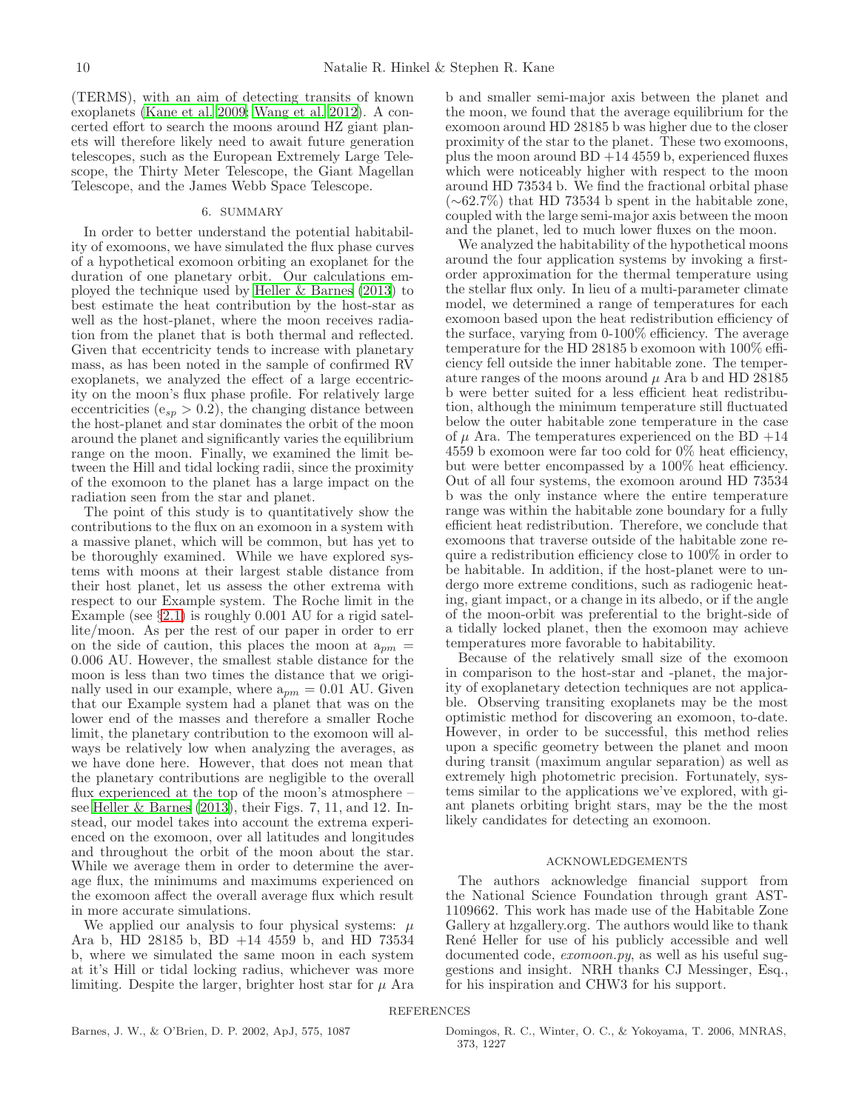(TERMS), with an aim of detecting transits of known exoplanets [\(Kane et al. 2009](#page-10-24); [Wang et al. 2012\)](#page-10-25). A concerted effort to search the moons around HZ giant planets will therefore likely need to await future generation telescopes, such as the European Extremely Large Telescope, the Thirty Meter Telescope, the Giant Magellan Telescope, and the James Webb Space Telescope.

## 6. SUMMARY

<span id="page-9-0"></span>In order to better understand the potential habitability of exomoons, we have simulated the flux phase curves of a hypothetical exomoon orbiting an exoplanet for the duration of one planetary orbit. Our calculations employed the technique used by [Heller & Barnes \(2013\)](#page-10-3) to best estimate the heat contribution by the host-star as well as the host-planet, where the moon receives radiation from the planet that is both thermal and reflected. Given that eccentricity tends to increase with planetary mass, as has been noted in the sample of confirmed RV exoplanets, we analyzed the effect of a large eccentricity on the moon's flux phase profile. For relatively large eccentricities ( $e_{sp} > 0.2$ ), the changing distance between the host-planet and star dominates the orbit of the moon around the planet and significantly varies the equilibrium range on the moon. Finally, we examined the limit between the Hill and tidal locking radii, since the proximity of the exomoon to the planet has a large impact on the radiation seen from the star and planet.

The point of this study is to quantitatively show the contributions to the flux on an exomoon in a system with a massive planet, which will be common, but has yet to be thoroughly examined. While we have explored systems with moons at their largest stable distance from their host planet, let us assess the other extrema with respect to our Example system. The Roche limit in the Example (see  $\S 2.1$ ) is roughly 0.001 AU for a rigid satellite/moon. As per the rest of our paper in order to err on the side of caution, this places the moon at  $a_{pm}$  = 0.006 AU. However, the smallest stable distance for the moon is less than two times the distance that we originally used in our example, where  $a_{pm} = 0.01$  AU. Given that our Example system had a planet that was on the lower end of the masses and therefore a smaller Roche limit, the planetary contribution to the exomoon will always be relatively low when analyzing the averages, as we have done here. However, that does not mean that the planetary contributions are negligible to the overall flux experienced at the top of the moon's atmosphere – see [Heller & Barnes \(2013\)](#page-10-3), their Figs. 7, 11, and 12. Instead, our model takes into account the extrema experienced on the exomoon, over all latitudes and longitudes and throughout the orbit of the moon about the star. While we average them in order to determine the average flux, the minimums and maximums experienced on the exomoon affect the overall average flux which result in more accurate simulations.

We applied our analysis to four physical systems:  $\mu$ Ara b, HD 28185 b, BD +14 4559 b, and HD 73534 b, where we simulated the same moon in each system at it's Hill or tidal locking radius, whichever was more limiting. Despite the larger, brighter host star for  $\mu$  Ara b and smaller semi-major axis between the planet and the moon, we found that the average equilibrium for the exomoon around HD 28185 b was higher due to the closer proximity of the star to the planet. These two exomoons, plus the moon around  $BD +14 4559 b$ , experienced fluxes which were noticeably higher with respect to the moon around HD 73534 b. We find the fractional orbital phase (∼62.7%) that HD 73534 b spent in the habitable zone, coupled with the large semi-major axis between the moon and the planet, led to much lower fluxes on the moon.

We analyzed the habitability of the hypothetical moons around the four application systems by invoking a firstorder approximation for the thermal temperature using the stellar flux only. In lieu of a multi-parameter climate model, we determined a range of temperatures for each exomoon based upon the heat redistribution efficiency of the surface, varying from 0-100% efficiency. The average temperature for the HD 28185 b exomoon with 100% efficiency fell outside the inner habitable zone. The temperature ranges of the moons around  $\mu$  Ara b and HD 28185 b were better suited for a less efficient heat redistribution, although the minimum temperature still fluctuated below the outer habitable zone temperature in the case of  $\mu$  Ara. The temperatures experienced on the BD +14 4559 b exomoon were far too cold for 0% heat efficiency, but were better encompassed by a 100% heat efficiency. Out of all four systems, the exomoon around HD 73534 b was the only instance where the entire temperature range was within the habitable zone boundary for a fully efficient heat redistribution. Therefore, we conclude that exomoons that traverse outside of the habitable zone require a redistribution efficiency close to 100% in order to be habitable. In addition, if the host-planet were to undergo more extreme conditions, such as radiogenic heating, giant impact, or a change in its albedo, or if the angle of the moon-orbit was preferential to the bright-side of a tidally locked planet, then the exomoon may achieve temperatures more favorable to habitability.

Because of the relatively small size of the exomoon in comparison to the host-star and -planet, the majority of exoplanetary detection techniques are not applicable. Observing transiting exoplanets may be the most optimistic method for discovering an exomoon, to-date. However, in order to be successful, this method relies upon a specific geometry between the planet and moon during transit (maximum angular separation) as well as extremely high photometric precision. Fortunately, systems similar to the applications we've explored, with giant planets orbiting bright stars, may be the the most likely candidates for detecting an exomoon.

#### ACKNOWLEDGEMENTS

<span id="page-9-2"></span>The authors acknowledge financial support from the National Science Foundation through grant AST-1109662. This work has made use of the Habitable Zone Gallery at hzgallery.org. The authors would like to thank René Heller for use of his publicly accessible and well documented code, *exomoon.py*, as well as his useful suggestions and insight. NRH thanks CJ Messinger, Esq., for his inspiration and CHW3 for his support.

<span id="page-9-1"></span>Barnes, J. W., & O'Brien, D. P. 2002, ApJ, 575, 1087 Domingos, R. C., Winter, O. C., & Yokoyama, T. 2006, MNRAS, 373, 1227